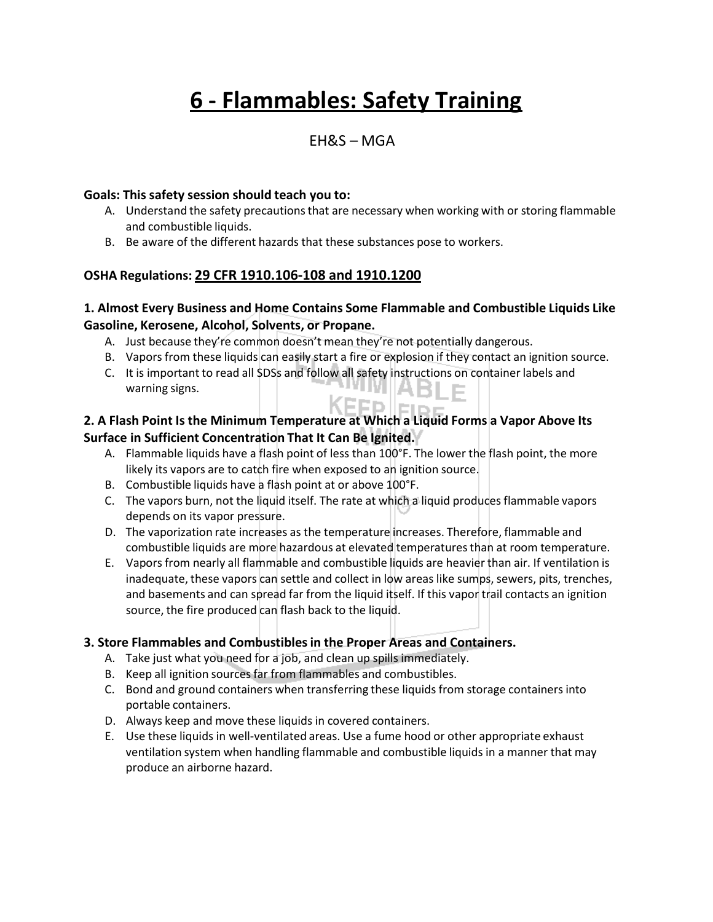# **6 - Flammables: Safety Training**

### EH&S – MGA

#### **Goals: This safety session should teach you to:**

- A. Understand the safety precautions that are necessary when working with or storing flammable and combustible liquids.
- B. Be aware of the different hazards that these substances pose to workers.

#### **OSHA Regulations: 29 CFR 1910.106-108 and 1910.1200**

#### **1. Almost Every Business and Home Contains Some Flammable and Combustible Liquids Like Gasoline, Kerosene, Alcohol, Solvents, or Propane.**

- A. Just because they're common doesn't mean they're not potentially dangerous.
- B. Vapors from these liquids can easily start a fire or explosion if they contact an ignition source.
- C. It is important to read all SDSs and follow all safety instructions on container labels and warning signs. warning signs.

#### KEFPIEID **2. A Flash Point Is the Minimum Temperature at Which a Liquid Forms a Vapor Above Its Surface in Sufficient Concentration That It Can Be Ignited.**

- A. Flammable liquids have a flash point of less than 100°F. The lower the flash point, the more likely its vapors are to catch fire when exposed to an ignition source.
- B. Combustible liquids have a flash point at or above 100°F.
- C. The vapors burn, not the liquid itself. The rate at which a liquid produces flammable vapors depends on its vapor pressure.
- D. The vaporization rate increases as the temperature increases. Therefore, flammable and combustible liquids are more hazardous at elevated temperaturesthan at room temperature.
- E. Vapors from nearly all flammable and combustible liquids are heavier than air. If ventilation is inadequate, these vapors can settle and collect in low areas like sumps, sewers, pits, trenches, and basements and can spread far from the liquid itself. If this vapor trail contacts an ignition source, the fire produced can flash back to the liquid.

#### **3. Store Flammables and Combustiblesin the Proper Areas and Containers.**

- A. Take just what you need for a job, and clean up spills immediately.
- B. Keep all ignition sources far from flammables and combustibles.
- C. Bond and ground containers when transferring these liquids from storage containersinto portable containers.
- D. Always keep and move these liquids in covered containers.
- E. Use these liquids in well-ventilated areas. Use a fume hood or other appropriate exhaust ventilation system when handling flammable and combustible liquids in a manner that may produce an airborne hazard.